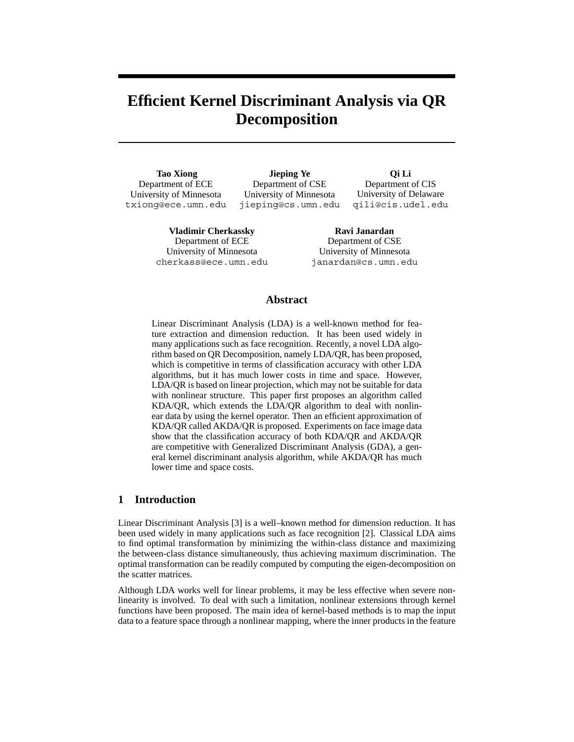# **Efficient Kernel Discriminant Analysis via QR Decomposition**

**Tao Xiong** Department of ECE University of Minnesota txiong@ece.umn.edu

**Jieping Ye** Department of CSE University of Minnesota jieping@cs.umn.edu

**Qi Li** Department of CIS University of Delaware qili@cis.udel.edu

**Vladimir Cherkassky** Department of ECE University of Minnesota cherkass@ece.umn.edu

**Ravi Janardan** Department of CSE University of Minnesota janardan@cs.umn.edu

# **Abstract**

Linear Discriminant Analysis (LDA) is a well-known method for feature extraction and dimension reduction. It has been used widely in many applications such as face recognition. Recently, a novel LDA algorithm based on QR Decomposition, namely LDA/QR, has been proposed, which is competitive in terms of classification accuracy with other LDA algorithms, but it has much lower costs in time and space. However, LDA/QR is based on linear projection, which may not be suitable for data with nonlinear structure. This paper first proposes an algorithm called KDA/QR, which extends the LDA/QR algorithm to deal with nonlinear data by using the kernel operator. Then an efficient approximation of KDA/QR called AKDA/QR is proposed. Experiments on face image data show that the classification accuracy of both KDA/QR and AKDA/QR are competitive with Generalized Discriminant Analysis (GDA), a general kernel discriminant analysis algorithm, while AKDA/QR has much lower time and space costs.

# **1 Introduction**

Linear Discriminant Analysis [3] is a well–known method for dimension reduction. It has been used widely in many applications such as face recognition [2]. Classical LDA aims to find optimal transformation by minimizing the within-class distance and maximizing the between-class distance simultaneously, thus achieving maximum discrimination. The optimal transformation can be readily computed by computing the eigen-decomposition on the scatter matrices.

Although LDA works well for linear problems, it may be less effective when severe nonlinearity is involved. To deal with such a limitation, nonlinear extensions through kernel functions have been proposed. The main idea of kernel-based methods is to map the input data to a feature space through a nonlinear mapping, where the inner products in the feature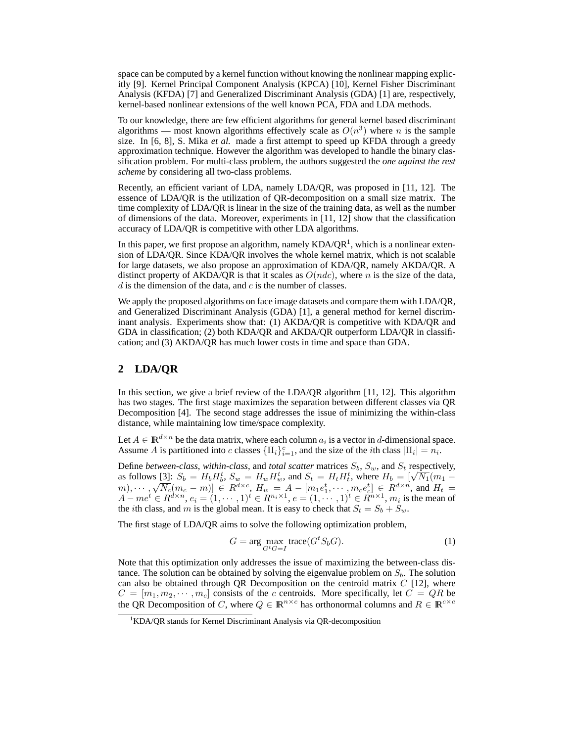space can be computed by a kernel function without knowing the nonlinear mapping explicitly [9]. Kernel Principal Component Analysis (KPCA) [10], Kernel Fisher Discriminant Analysis (KFDA) [7] and Generalized Discriminant Analysis (GDA) [1] are, respectively, kernel-based nonlinear extensions of the well known PCA, FDA and LDA methods.

To our knowledge, there are few efficient algorithms for general kernel based discriminant algorithms — most known algorithms effectively scale as  $O(n^3)$  where n is the sample size. In [6, 8], S. Mika *et al.* made a first attempt to speed up KFDA through a greedy approximation technique. However the algorithm was developed to handle the binary classification problem. For multi-class problem, the authors suggested the *one against the rest scheme* by considering all two-class problems.

Recently, an efficient variant of LDA, namely LDA/QR, was proposed in [11, 12]. The essence of LDA/QR is the utilization of QR-decomposition on a small size matrix. The time complexity of LDA/QR is linear in the size of the training data, as well as the number of dimensions of the data. Moreover, experiments in [11, 12] show that the classification accuracy of LDA/QR is competitive with other LDA algorithms.

In this paper, we first propose an algorithm, namely  $KDA/OR<sup>1</sup>$ , which is a nonlinear extension of LDA/QR. Since KDA/QR involves the whole kernel matrix, which is not scalable for large datasets, we also propose an approximation of KDA/QR, namely AKDA/QR. A distinct property of AKDA/QR is that it scales as  $O(ndc)$ , where n is the size of the data, d is the dimension of the data, and  $c$  is the number of classes.

We apply the proposed algorithms on face image datasets and compare them with LDA/QR, and Generalized Discriminant Analysis (GDA) [1], a general method for kernel discriminant analysis. Experiments show that: (1) AKDA/QR is competitive with KDA/QR and GDA in classification; (2) both KDA/QR and AKDA/QR outperform LDA/QR in classification; and (3) AKDA/QR has much lower costs in time and space than GDA.

## **2 LDA/QR**

In this section, we give a brief review of the LDA/QR algorithm [11, 12]. This algorithm has two stages. The first stage maximizes the separation between different classes via QR Decomposition [4]. The second stage addresses the issue of minimizing the within-class distance, while maintaining low time/space complexity.

Let  $A \in \mathbb{R}^{d \times n}$  be the data matrix, where each column  $a_i$  is a vector in d-dimensional space. Assume A is partitioned into c classes  $\{\Pi_i\}_{i=1}^c$ , and the size of the *i*th class  $|\Pi_i| = n_i$ .

Define *between-class*, *within-class*, and *total scatter* matrices  $S_b$ ,  $S_w$ , and  $S_t$  respectively, Define *between-class*, within-class, and *total scatter* matrices  $S_b$ ,  $S_w$ , and  $S_t$  respectively, as follows [3]:  $S_b = H_b H_b^t$ ,  $S_w = H_w H_w^t$ , and  $S_t = H_t H_t^t$ , where  $H_b = [\sqrt{N_1}(m_1 - \sqrt{N_2}m_1)]$ as follows [5],  $S_b = H_b H_b$ ,  $S_w = H_w H_w$ , and  $S_t = H_t H_t$ , where  $H_b = [\sqrt{N_1(m_1 - m)}], \dots, \sqrt{N_c(m_c - m)}] \in R^{d \times c}$ ,  $H_w = A - [m_1 e_1^t, \dots, m_c e_c^t] \in R^{d \times n}$ , and  $H_t =$  $A - me^t \in R^{d \times n}, e_i = (1, \dots, 1)^t \in R^{n_i \times 1}, e = (1, \dots, 1)^t \in R^{n \times 1}, m_i$  is the mean of the *i*th class, and m is the global mean. It is easy to check that  $S_t = S_b + S_w$ .

The first stage of LDA/QR aims to solve the following optimization problem,

$$
G = \arg\max_{G^t G = I} \text{trace}(G^t S_b G). \tag{1}
$$

Note that this optimization only addresses the issue of maximizing the between-class distance. The solution can be obtained by solving the eigenvalue problem on  $S<sub>b</sub>$ . The solution can also be obtained through QR Decomposition on the centroid matrix  $C$  [12], where  $C = [m_1, m_2, \cdots, m_c]$  consists of the c centroids. More specifically, let  $C = QR$  be the QR Decomposition of C, where  $Q \in \mathbb{R}^{n \times c}$  has orthonormal columns and  $R \in \mathbb{R}^{c \times c}$ 

<sup>&</sup>lt;sup>1</sup>KDA/QR stands for Kernel Discriminant Analysis via QR-decomposition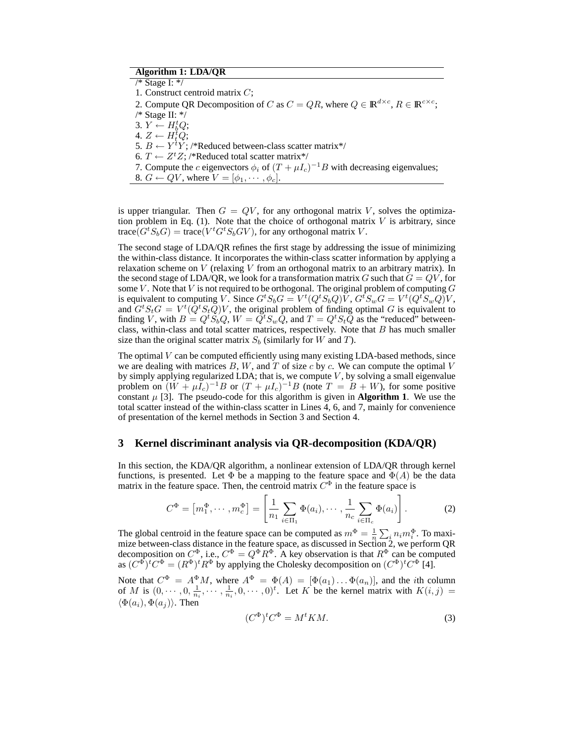# **Algorithm 1: LDA/QR**

/\* Stage I: \*/ 1. Construct centroid matrix C; 2. Compute QR Decomposition of C as  $C = QR$ , where  $Q \in \mathbb{R}^{d \times c}$ ,  $R \in \mathbb{R}^{c \times c}$ ; /\* Stage II: \*/ 3.  $Y \leftarrow H_b^t Q;$ 4.  $Z \leftarrow H_t^{\mathcal{U}} Q;$ 5.  $B \leftarrow Y^t Y$ ; /\*Reduced between-class scatter matrix\*/ 6.  $T \leftarrow Z^t Z$ ; /\*Reduced total scatter matrix\*/ 7. Compute the c eigenvectors  $\phi_i$  of  $(T + \mu I_c)^{-1}B$  with decreasing eigenvalues; 8.  $G \leftarrow QV$ , where  $V = [\phi_1, \cdots, \phi_c]$ .

is upper triangular. Then  $G = QV$ , for any orthogonal matrix V, solves the optimization problem in Eq.  $(1)$ . Note that the choice of orthogonal matrix V is arbitrary, since trace $(G^t S_b G)$  = trace $(V^t G^t S_b G V)$ , for any orthogonal matrix V.

The second stage of LDA/QR refines the first stage by addressing the issue of minimizing the within-class distance. It incorporates the within-class scatter information by applying a relaxation scheme on  $V$  (relaxing  $V$  from an orthogonal matrix to an arbitrary matrix). In the second stage of LDA/QR, we look for a transformation matrix G such that  $G = QV$ , for some V. Note that V is not required to be orthogonal. The original problem of computing  $G$ is equivalent to computing V. Since  $G^tS_bG = V^t(Q^tS_bQ)\tilde{V}$ ,  $G^tS_wG = V^t(Q^tS_wQ)\tilde{V}$ , and  $G^tS_tG = V^t(Q^tS_t\tilde{Q})V$ , the original problem of finding optimal G is equivalent to finding V, with  $B = Q^t S_b Q$ ,  $W = Q^t S_w Q$ , and  $T = Q^t S_t Q$  as the "reduced" betweenclass, within-class and total scatter matrices, respectively. Note that  $B$  has much smaller size than the original scatter matrix  $S_b$  (similarly for W and T).

The optimal  $V$  can be computed efficiently using many existing LDA-based methods, since we are dealing with matrices  $B$ ,  $W$ , and  $T$  of size  $c$  by  $c$ . We can compute the optimal  $V$ by simply applying regularized LDA; that is, we compute  $V$ , by solving a small eigenvalue problem on  $(W + \mu I_c)^{-1}B$  or  $(T + \mu I_c)^{-1}B$  (note  $T = B + W$ ), for some positive constant  $\mu$  [3]. The pseudo-code for this algorithm is given in **Algorithm 1**. We use the total scatter instead of the within-class scatter in Lines 4, 6, and 7, mainly for convenience of presentation of the kernel methods in Section 3 and Section 4.

## **3 Kernel discriminant analysis via QR-decomposition (KDA/QR)**

In this section, the KDA/QR algorithm, a nonlinear extension of LDA/QR through kernel functions, is presented. Let  $\Phi$  be a mapping to the feature space and  $\Phi(A)$  be the data matrix in the feature space. Then, the centroid matrix  $C^{\Phi}$  in the feature space is

$$
C^{\Phi} = [m_1^{\Phi}, \cdots, m_c^{\Phi}] = \left[\frac{1}{n_1} \sum_{i \in \Pi_1} \Phi(a_i), \cdots, \frac{1}{n_c} \sum_{i \in \Pi_c} \Phi(a_i)\right].
$$
 (2)

The global centroid in the feature space can be computed as  $m^{\Phi} = \frac{1}{n} \sum_i n_i m_i^{\Phi}$ . To maximize between-class distance in the feature space, as discussed in Section 2, we perform QR decomposition on  $C^{\Phi}$ , i.e.,  $C^{\Phi} = Q^{\Phi} R^{\Phi}$ . A key observation is that  $R^{\Phi}$  can be computed as  $(C^{\Phi})^t C^{\Phi} = (R^{\Phi})^t R^{\Phi}$  by applying the Cholesky decomposition on  $(C^{\Phi})^t C^{\Phi}$  [4].

Note that  $C^{\Phi} = A^{\Phi} M$ , where  $A^{\Phi} = \Phi(A) = [\Phi(a_1) \dots \Phi(a_n)],$  and the *i*th column of M is  $(0, \dots, 0, \frac{1}{n_i}, \dots, \frac{1}{n_i}, 0, \dots, 0)^t$ . Let K be the kernel matrix with  $K(i, j)$  =  $\langle \Phi(a_i), \Phi(a_i) \rangle$ . Then

$$
(C^{\Phi})^t C^{\Phi} = M^t K M. \tag{3}
$$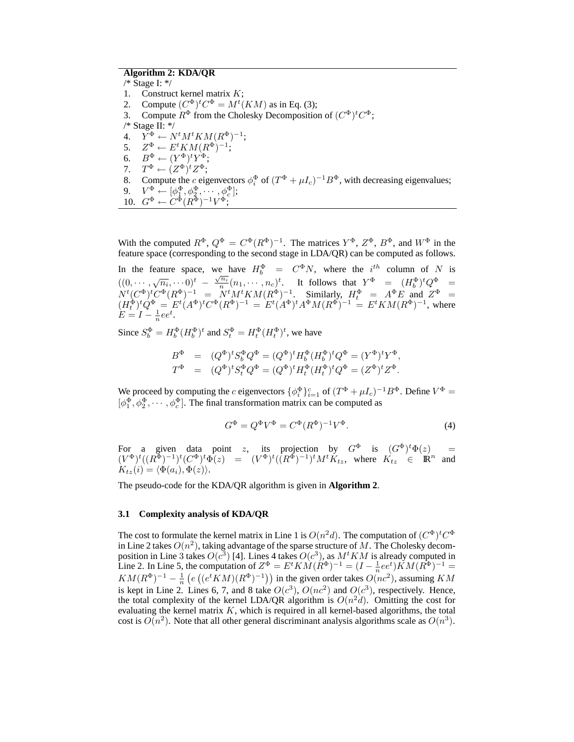# **Algorithm 2: KDA/QR**

/\* Stage I: \*/ 1. Construct kernel matrix  $K$ ; 2. Compute  $(C^{\Phi})^t C^{\Phi} = M^t(KM)$  as in Eq. (3); 3. Compute  $R^{\Phi}$  from the Cholesky Decomposition of  $(C^{\Phi})^t C^{\Phi}$ ; /\* Stage II: \*/ 4.  $\widetilde{Y}^{\Phi} \leftarrow N^t M^t K M (R^{\Phi})^{-1};$ 5.  $Z^{\Phi} \leftarrow E^t K M (R^{\Phi})^{-1};$ 6.  $B^{\Phi} \leftarrow (Y^{\Phi})^t Y^{\Phi};$ 7.  $T^{\Phi} \leftarrow (Z^{\Phi})^t Z^{\Phi};$ 8. Compute the c eigenvectors  $\phi_i^{\Phi}$  of  $(T^{\Phi} + \mu I_c)^{-1} B^{\Phi}$ , with decreasing eigenvalues; 9.  $V^{\Phi} \leftarrow [\phi_1^{\Phi}, \phi_2^{\Phi}, \cdots, \phi_c^{\Phi}];$ 10.  $G^{\Phi} \leftarrow C^{\Phi}(R^{\Phi})^{-1}V^{\Phi};$ 

With the computed  $R^{\Phi}$ ,  $Q^{\Phi} = C^{\Phi}(R^{\Phi})^{-1}$ . The matrices  $Y^{\Phi}$ ,  $Z^{\Phi}$ ,  $B^{\Phi}$ , and  $W^{\Phi}$  in the feature space (corresponding to the second stage in LDA/QR) can be computed as follows.

In the feature space, we have  $H_b^{\Phi} = C^{\Phi} N$ , where the  $i^{th}$  column of N is  $((0, \cdots, \sqrt{n_i}, \cdots))^{t} - \frac{\sqrt{n_i}}{n}(n_1, \cdots, n_c)^{t}$ . It follows that  $Y^{\Phi} = (H_b^{\Phi})^{t} Q^{\Phi} =$  $N^{t}(C^{\Phi})^{t}C^{\Phi}(R^{\Phi})^{-1}$  =  $N^{t}M^{t}KM(R^{\Phi})^{-1}$ . Similarly,  $H_{t}^{\Phi}$  =  $A^{\Phi}E$  and  $Z^{\Phi}$  =  $(H_t^{\Phi})^t Q^{\Phi} = E^t (A^{\Phi})^t C^{\Phi} (R^{\Phi})^{-1} = E^t (A^{\Phi})^t A^{\Phi} M (R^{\Phi})^{-1} = E^t K M (R^{\Phi})^{-1}$ , where  $E = I - \frac{1}{n}ee^t.$ 

Since  $S_b^{\Phi} = H_b^{\Phi} (H_b^{\Phi})^t$  and  $S_t^{\Phi} = H_t^{\Phi} (H_t^{\Phi})^t$ , we have

$$
B^{\Phi} = (Q^{\Phi})^t S_b^{\Phi} Q^{\Phi} = (Q^{\Phi})^t H_b^{\Phi} (H_b^{\Phi})^t Q^{\Phi} = (Y^{\Phi})^t Y^{\Phi}, T^{\Phi} = (Q^{\Phi})^t S_t^{\Phi} Q^{\Phi} = (Q^{\Phi})^t H_t^{\Phi} (H_t^{\Phi})^t Q^{\Phi} = (Z^{\Phi})^t Z^{\Phi}.
$$

We proceed by computing the *c* eigenvectors  $\{\phi_i^{\Phi}\}_{i=1}^c$  of  $(T^{\Phi} + \mu I_c)^{-1}B^{\Phi}$ . Define  $V^{\Phi}$  =  $[\phi_1^{\Phi}, \phi_2^{\Phi}, \cdots, \phi_c^{\Phi}]$ . The final transformation matrix can be computed as

$$
G^{\Phi} = Q^{\Phi} V^{\Phi} = C^{\Phi} (R^{\Phi})^{-1} V^{\Phi}.
$$
 (4)

For a given data point z, its projection by  $G^{\Phi}$  is  $(G^{\Phi})^t \Phi(z) =$  $(V^{\Phi})^t((R^{\Phi})^{-1})^t(C^{\Phi})^t\Phi(z) = (V^{\Phi})^t((R^{\Phi})^{-1})^tM^tK_{tz}$ , where  $K_{tz} \in \mathbb{R}^n$  and  $K_{tz}(i) = \langle \Phi(a_i), \Phi(z) \rangle.$ 

The pseudo-code for the KDA/QR algorithm is given in **Algorithm 2**.

#### **3.1 Complexity analysis of KDA/QR**

The cost to formulate the kernel matrix in Line 1 is  $O(n^2d)$ . The computation of  $(C^{\Phi})^t C^{\Phi}$ in Line 2 takes  $O(n^2)$ , taking advantage of the sparse structure of M. The Cholesky decomposition in Line 3 takes  $O(c^3)$  [4]. Lines 4 takes  $O(c^3)$ , as  $M<sup>t</sup>KM$  is already computed in Line 2. In Line 5, the computation of  $Z^{\Phi} = E^t K \hat{M} (\hat{R}^{\Phi})^{-1} = (I - \frac{1}{n} e e^t) \hat{K} M (R^{\Phi})^{-1} =$  $KM(R^{\Phi})^{-1} - \frac{1}{n} \left( e \left( (e^t KM)(R^{\Phi})^{-1} \right) \right)$  in the given order takes  $O(nc^2)$ , assuming KM is kept in Line 2. Lines 6, 7, and 8 take  $O(c^3)$ ,  $O(nc^2)$  and  $O(c^3)$ , respectively. Hence, the total complexity of the kernel LDA/QR algorithm is  $O(n^2d)$ . Omitting the cost for evaluating the kernel matrix  $K$ , which is required in all kernel-based algorithms, the total cost is  $O(n^2)$ . Note that all other general discriminant analysis algorithms scale as  $O(n^3)$ .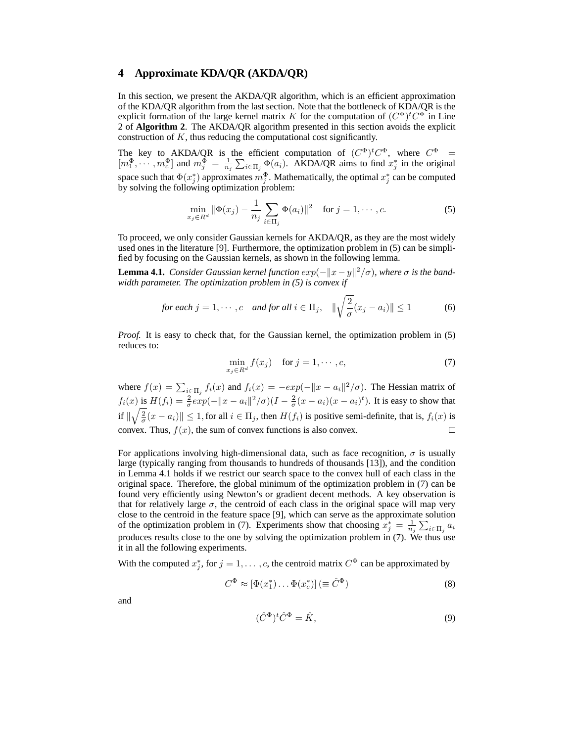## **4 Approximate KDA/QR (AKDA/QR)**

In this section, we present the AKDA/QR algorithm, which is an efficient approximation of the KDA/QR algorithm from the last section. Note that the bottleneck of KDA/QR is the explicit formation of the large kernel matrix K for the computation of  $(C^{\Phi})^t C^{\Phi}$  in Line 2 of **Algorithm 2**. The AKDA/QR algorithm presented in this section avoids the explicit construction of K, thus reducing the computational cost significantly.

The key to AKDA/QR is the efficient computation of  $(C^{\Phi})^t C^{\Phi}$ , where  $C^{\Phi}$  =  $[m_1^{\Phi}, \cdots, m_c^{\Phi}]$  and  $m_j^{\Phi} = \frac{1}{n_j} \sum_{i \in \Pi_j} \Phi(a_i)$ . AKDA/QR aims to find  $x_j^*$  in the original space such that  $\Phi(x_i^*)$  approximates  $m_i^{\Phi}$ . Mathematically, the optimal  $x_i^*$  can be computed by solving the following optimization problem:

$$
\min_{x_j \in R^d} \|\Phi(x_j) - \frac{1}{n_j} \sum_{i \in \Pi_j} \Phi(a_i)\|^2 \quad \text{for } j = 1, \cdots, c.
$$
 (5)

To proceed, we only consider Gaussian kernels for AKDA/QR, as they are the most widely used ones in the literature [9]. Furthermore, the optimization problem in (5) can be simplified by focusing on the Gaussian kernels, as shown in the following lemma.

**Lemma 4.1.** *Consider Gaussian kernel function*  $exp(-||x - y||^2/\sigma)$ *, where*  $\sigma$  *is the bandwidth parameter. The optimization problem in (5) is convex if*

for each 
$$
j = 1, \dots, c
$$
 and for all  $i \in \Pi_j$ ,  $\|\sqrt{\frac{2}{\sigma}}(x_j - a_i)\| \le 1$  (6)

*Proof.* It is easy to check that, for the Gaussian kernel, the optimization problem in (5) reduces to:

$$
\min_{x_j \in R^d} f(x_j) \quad \text{for } j = 1, \cdots, c,
$$
\n(7)

where  $f(x) = \sum_{i \in \Pi_j} f_i(x)$  and  $f_i(x) = -exp(-||x - a_i||^2/\sigma)$ . The Hessian matrix of  $f_i(x)$  is  $H(f_i) = \frac{2}{\sigma} exp(-||x - a_i||^2/\sigma)(I - \frac{2}{\sigma}(x - a_i)(x - a_i)^t)$ . It is easy to show that if  $\|\sqrt{\frac{2}{\sigma}}(x-a_i)\| \leq 1$ , for all  $i \in \Pi_j$ , then  $H(f_i)$  is positive semi-definite, that is,  $f_i(x)$  is convex. Thus,  $f(x)$ , the sum of convex functions is also convex.  $\Box$ 

For applications involving high-dimensional data, such as face recognition,  $\sigma$  is usually large (typically ranging from thousands to hundreds of thousands [13]), and the condition in Lemma 4.1 holds if we restrict our search space to the convex hull of each class in the original space. Therefore, the global minimum of the optimization problem in (7) can be found very efficiently using Newton's or gradient decent methods. A key observation is that for relatively large  $\sigma$ , the centroid of each class in the original space will map very close to the centroid in the feature space [9], which can serve as the approximate solution of the optimization problem in (7). Experiments show that choosing  $x_j^* = \frac{1}{n_j} \sum_{i \in \Pi_j} a_i$ produces results close to the one by solving the optimization problem in (7). We thus use it in all the following experiments.

With the computed  $x_j^*$ , for  $j = 1, \ldots, c$ , the centroid matrix  $C^{\Phi}$  can be approximated by

$$
C^{\Phi} \approx [\Phi(x_1^*) \dots \Phi(x_c^*)] \left( \equiv \hat{C}^{\Phi} \right)
$$
 (8)

and

$$
(\hat{C}^{\Phi})^t \hat{C}^{\Phi} = \hat{K},\tag{9}
$$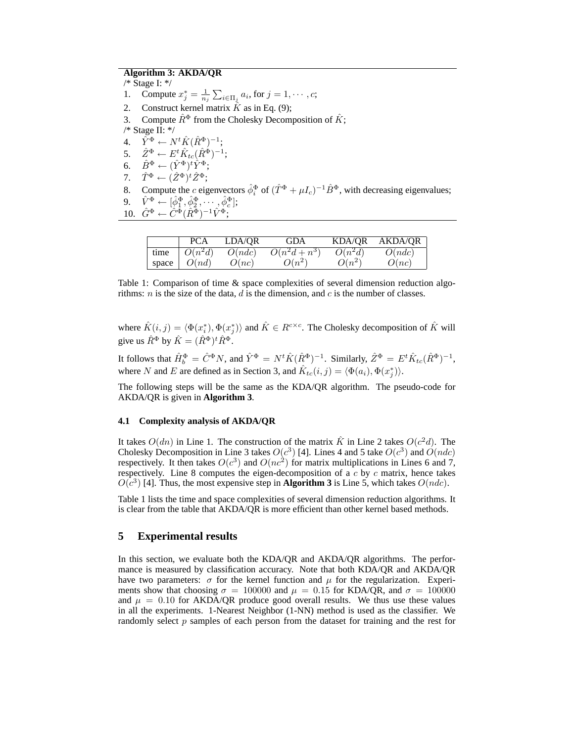# **Algorithm 3: AKDA/QR**

/\* Stage I: \*/ 1. Compute  $x_j^* = \frac{1}{n_j} \sum_{i \in \Pi_j} a_i$ , for  $j = 1, \dots, c$ ; 2. Construct kernel matrix  $\hat{K}$  as in Eq. (9); 3. Compute  $\hat{R}^{\Phi}$  from the Cholesky Decomposition of  $\hat{K}$ ; /\* Stage II: \*/ 4.  $\hat{Y}^{\Phi} \leftarrow N^t \hat{K} (\hat{R}^{\Phi})^{-1};$ 5.  $\hat{Z}^{\Phi} \leftarrow E^t \hat{K}_{tc} (\hat{R}^{\Phi})^{-1};$ 6.  $\hat{B}^\Phi \leftarrow (\hat{Y}^\Phi)^t \hat{Y}^\Phi;$ 7.  $\hat{T}^{\Phi} \leftarrow (\hat{Z}^{\Phi})^t \hat{Z}^{\Phi};$ 8. Compute the c eigenvectors  $\hat{\phi}_i^{\Phi}$  of  $(\hat{T}^{\Phi} + \mu I_c)^{-1} \hat{B}^{\Phi}$ , with decreasing eigenvalues; 9.  $\hat{V}^{\Phi} \leftarrow [\hat{\phi}_1^{\Phi}, \hat{\phi}_2^{\Phi}, \cdots, \hat{\phi}_c^{\Phi}];$ 10.  $\hat{G}^{\Phi} \leftarrow \hat{C}^{\Phi} (\hat{R}^{\Phi})^{-1} \hat{V}^{\Phi};$ 

|       | PCA       | LDA/OR | <b>GDA</b>      | <b>KDA/OR</b> | <b>AKDA/OR</b> |
|-------|-----------|--------|-----------------|---------------|----------------|
| time  | $O(n^2d)$ | O(ndc) | $O(n^2d + n^3)$ | $O(n^2d)$     | O(ndc)         |
| space | O(nd)     | O(nc)  | $O(n^2)$        | $O(n^2)$      | O(nc)          |

Table 1: Comparison of time & space complexities of several dimension reduction algorithms: *n* is the size of the data, *d* is the dimension, and *c* is the number of classes.

where  $\hat{K}(i, j) = \langle \Phi(x_i^*), \Phi(x_j^*) \rangle$  and  $\hat{K} \in R^{c \times c}$ . The Cholesky decomposition of  $\hat{K}$  will give us  $\hat{R}^{\Phi}$  by  $\hat{K} = (\hat{R}^{\Phi})^t \hat{R}^{\Phi}$ .

It follows that  $\hat{H}^{\Phi}_{b} = \hat{C}^{\Phi} N$ , and  $\hat{Y}^{\Phi} = N^{t} \hat{K} (\hat{R}^{\Phi})^{-1}$ . Similarly,  $\hat{Z}^{\Phi} = E^{t} \hat{K}_{tc} (\hat{R}^{\Phi})^{-1}$ , where N and E are defined as in Section 3, and  $\hat{K}_{tc}(i, j) = \langle \Phi(a_i), \Phi(x_j^*) \rangle$ .

The following steps will be the same as the KDA/QR algorithm. The pseudo-code for AKDA/QR is given in **Algorithm 3**.

### **4.1 Complexity analysis of AKDA/QR**

It takes  $O(dn)$  in Line 1. The construction of the matrix  $\hat{K}$  in Line 2 takes  $O(c^2d)$ . The Cholesky Decomposition in Line 3 takes  $O(c^3)$  [4]. Lines 4 and 5 take  $O(c^3)$  and  $O(ndc)$ respectively. It then takes  $O(c^3)$  and  $O(nc^2)$  for matrix multiplications in Lines 6 and 7, respectively. Line 8 computes the eigen-decomposition of a  $c$  by  $c$  matrix, hence takes  $O(c^3)$  [4]. Thus, the most expensive step in **Algorithm 3** is Line 5, which takes  $O(n d c)$ .

Table 1 lists the time and space complexities of several dimension reduction algorithms. It is clear from the table that AKDA/QR is more efficient than other kernel based methods.

## **5 Experimental results**

In this section, we evaluate both the KDA/OR and AKDA/OR algorithms. The performance is measured by classification accuracy. Note that both KDA/QR and AKDA/QR have two parameters:  $\sigma$  for the kernel function and  $\mu$  for the regularization. Experiments show that choosing  $\sigma = 100000$  and  $\mu = 0.15$  for KDA/QR, and  $\sigma = 100000$ and  $\mu = 0.10$  for AKDA/QR produce good overall results. We thus use these values in all the experiments. 1-Nearest Neighbor (1-NN) method is used as the classifier. We randomly select  $p$  samples of each person from the dataset for training and the rest for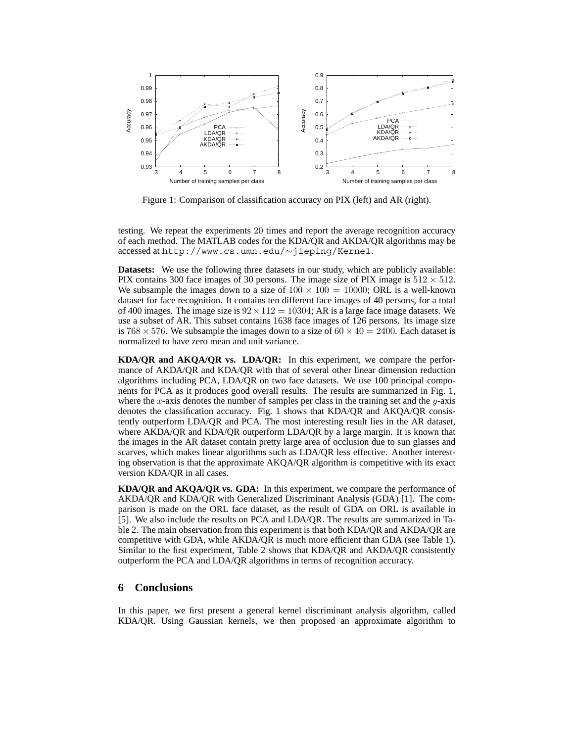

Figure 1: Comparison of classification accuracy on PIX (left) and AR (right).

testing. We repeat the experiments 20 times and report the average recognition accuracy of each method. The MATLAB codes for the KDA/QR and AKDA/QR algorithms may be accessed at http://www.cs.umn.edu/∼jieping/Kernel.

**Datasets:** We use the following three datasets in our study, which are publicly available: PIX contains 300 face images of 30 persons. The image size of PIX image is  $512 \times 512$ . We subsample the images down to a size of  $100 \times 100 = 10000$ ; ORL is a well-known dataset for face recognition. It contains ten different face images of 40 persons, for a total of 400 images. The image size is  $92 \times 112 = 10304$ ; AR is a large face image datasets. We use a subset of AR. This subset contains 1638 face images of 126 persons. Its image size is 768  $\times$  576. We subsample the images down to a size of 60  $\times$  40 = 2400. Each dataset is normalized to have zero mean and unit variance.

**KDA/QR and AKQA/QR vs. LDA/QR:** In this experiment, we compare the performance of AKDA/QR and KDA/QR with that of several other linear dimension reduction algorithms including PCA, LDA/QR on two face datasets. We use 100 principal components for PCA as it produces good overall results. The results are summarized in Fig. 1, where the  $x$ -axis denotes the number of samples per class in the training set and the  $y$ -axis denotes the classification accuracy. Fig. 1 shows that KDA/QR and AKQA/QR consistently outperform LDA/QR and PCA. The most interesting result lies in the AR dataset, where AKDA/QR and KDA/QR outperform LDA/QR by a large margin. It is known that the images in the AR dataset contain pretty large area of occlusion due to sun glasses and scarves, which makes linear algorithms such as LDA/QR less effective. Another interesting observation is that the approximate AKQA/QR algorithm is competitive with its exact version KDA/QR in all cases.

**KDA/QR and AKQA/QR vs. GDA:** In this experiment, we compare the performance of AKDA/QR and KDA/QR with Generalized Discriminant Analysis (GDA) [1]. The comparison is made on the ORL face dataset, as the result of GDA on ORL is available in [5]. We also include the results on PCA and LDA/QR. The results are summarized in Table 2. The main observation from this experiment is that both KDA/QR and AKDA/QR are competitive with GDA, while AKDA/QR is much more efficient than GDA (see Table 1). Similar to the first experiment, Table 2 shows that KDA/QR and AKDA/QR consistently outperform the PCA and LDA/QR algorithms in terms of recognition accuracy.

# **6 Conclusions**

In this paper, we first present a general kernel discriminant analysis algorithm, called KDA/QR. Using Gaussian kernels, we then proposed an approximate algorithm to